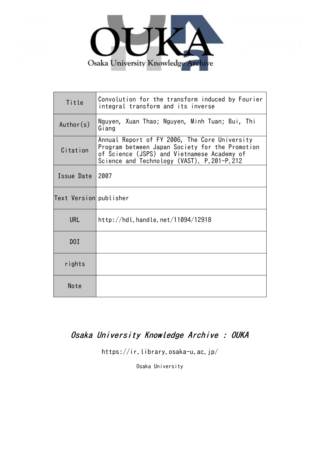

| Title                  | Convolution for the transform induced by Fourier<br>integral transform and its inverse                                                                                                        |
|------------------------|-----------------------------------------------------------------------------------------------------------------------------------------------------------------------------------------------|
| Author(s)              | Nguyen, Xuan Thao; Nguyen, Minh Tuan; Bui, Thi<br>Giang                                                                                                                                       |
| Citation               | Annual Report of FY 2006, The Core University<br>Program between Japan Society for the Promotion<br>of Science (JSPS) and Vietnamese Academy of<br>Science and Technology (VAST). P.201-P.212 |
| Issue Date             | 2007                                                                                                                                                                                          |
| Text Version publisher |                                                                                                                                                                                               |
| <b>URL</b>             | http://hdl.handle.net/11094/12918                                                                                                                                                             |
| DOI                    |                                                                                                                                                                                               |
| rights                 |                                                                                                                                                                                               |
| Note                   |                                                                                                                                                                                               |

# Osaka University Knowledge Archive : OUKA

https://ir.library.osaka-u.ac.jp/

Osaka University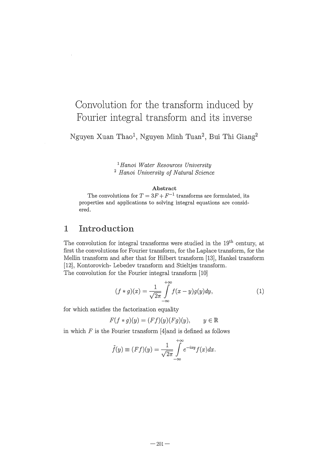# Convolution for the transform induced by Fourier integral transform and its inverse

Nguyen Xuan Thaol , Nguyen Minh Tuan2 , Bui Thi Giang2

<sup>1</sup>*Hanoi Water Resources University*  <sup>2</sup>*Hanoi University of Natural Science* 

### Abstract

The convolutions for  $T = 3F + F^{-1}$  transforms are formulated, its properties and applications to solving integral equations are considered.

### 1 Introduction

The convolution for integral transforms were studied in the  $19<sup>th</sup>$  century, at first the convolutions for Fourier transform, for the Laplace transform, for the Mellin transform and after that for Hilbert transform [13], Hankel transform [12], Kontorovich- Lebedev transform and Stieltjes transform. The convolution for the Fourier integral transform [10]

$$
(f * g)(x) = \frac{1}{\sqrt{2\pi}} \int_{-\infty}^{+\infty} f(x - y)g(y)dy, \tag{1}
$$

for which satisfies the factorization equality

$$
F(f * g)(y) = (Ff)(y)(Fg)(y), \qquad y \in \mathbb{R}
$$

in which  $F$  is the Fourier transform [4]and is defined as follows

$$
\tilde{f}(y) \equiv (Ff)(y) = \frac{1}{\sqrt{2\pi}} \int_{-\infty}^{+\infty} e^{-ixy} f(x) dx.
$$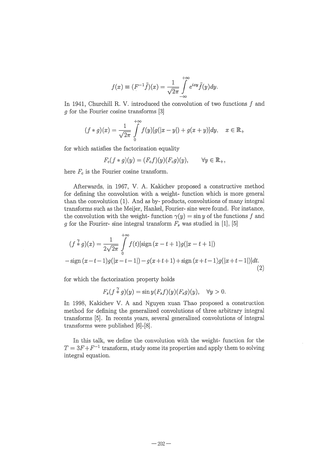$$
f(x) \equiv (F^{-1}\tilde{f})(x) = \frac{1}{\sqrt{2\pi}} \int_{-\infty}^{+\infty} e^{ixy} \tilde{f}(y) dy.
$$

In 1941, Churchill R. V. introduced the convolution of two functions  $f$  and 9 for the Fourier cosine transforms [3J

$$
(f * g)(x) = \frac{1}{\sqrt{2\pi}} \int_{0}^{+\infty} f(y)[g(|x - y|) + g(x + y)]dy, \quad x \in \mathbb{R}_{+}
$$

for which satisfies the factorization equality

$$
F_c(f * g)(y) = (F_c f)(y)(F_c g)(y), \qquad \forall y \in \mathbb{R}_+,
$$

here  $F_c$  is the Fourier cosine transform.

Afterwards, in 1967, V. A. Kakichev proposed a constructive method for defining the convolution with a weight- function which is more general than the convolution (1). And as by- products, convolutions of many integral transforms such as the Meijer, Hankel, Fourier- sine were found. For instance, the convolution with the weight- function  $\gamma(y) = \sin y$  of the functions f and  $g$  for the Fourier- sine integral transform  $F_s$  was studied in [1], [5]

$$
(f * g)(x) = \frac{1}{2\sqrt{2\pi}} \int_{0}^{+\infty} f(t)[\text{sign}(x - t + 1)g(|x - t + 1|)
$$
  
 
$$
-\text{sign}(x - t - 1)g(|x - t - 1|) - g(x + t + 1) + \text{sign}(x + t - 1)g(|x + t - 1|)]dt.
$$
  
(2)

for which the factorization property holds

$$
F_s(f * g)(y) = \sin y(F_s f)(y)(F_s g)(y), \quad \forall y > 0.
$$

In 1998, Kakichev V. A and Nguyen xuan Thao proposed a construction method for defining the generalized convolutions of three arbitrary integral transforms [5J. In recents years, several generalized convolutions of integral transforms were published [6J-[8J.

In this talk, we define the convolution with the weight- function for the  $T = 3F + F^{-1}$  transform, study some its properties and apply them to solving integral equation.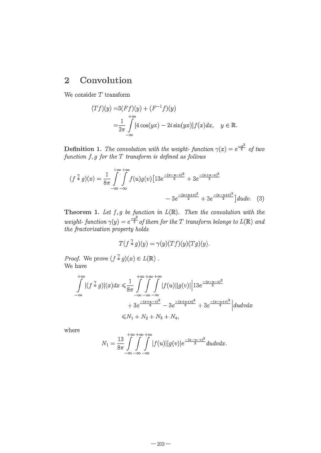## 2 Convolution

We consider *T* transform

$$
(Tf)(y) = 3(Ff)(y) + (F^{-1}f)(y)
$$
  
= 
$$
\frac{1}{2\pi} \int_{-\infty}^{+\infty} [4\cos(yx) - 2i\sin(yx)]f(x)dx, \quad y \in \mathbb{R}.
$$

Definition 1. The convolution with the weight-function  $\gamma(x) = e^{\frac{-x^2}{2}}$  of two *function* 1, *9 for the T transform is defined as follows* 

$$
(f * g)(x) = \frac{1}{8\pi} \int_{-\infty}^{+\infty} \int_{-\infty}^{+\infty} f(u)g(v) \left[13e^{\frac{-(x-u-v)^2}{2}} + 3e^{\frac{-(x+u-v)^2}{2}} - 3e^{\frac{-(x+u+v)^2}{2}} + 3e^{\frac{-(x-u+v)^2}{2}}\right] du dv. \tag{3}
$$

Theorem 1. Let  $f, g$  be function in  $L(\mathbb{R})$ . Then the convolution with the *weight-* function  $\gamma(y) = e^{\frac{-y^2}{2}}$  of them for the T transform belongs to  $L(\mathbb{R})$  and *the fractorization property holds* 

$$
T(f \mathbin{\widehat{*}} g)(y) = \gamma(y)(Tf)(y)(Tg)(y).
$$

*Proof.* We prove  $(f \nlessdot g)(x) \in L(\mathbb{R})$ . We have

$$
\int_{-\infty}^{+\infty} |(f \stackrel{\gamma}{*} g)|(x)dx \le \frac{1}{8\pi} \int_{-\infty}^{+\infty} \int_{-\infty}^{+\infty} |f(u)||g(v)||13e^{\frac{-(x-u-v)^2}{2}}
$$
  
+  $3e^{\frac{-(x+u-v)^2}{2}} - 3e^{\frac{-(x+u+v)^2}{2}} + 3e^{\frac{-(x-u+v)^2}{2}}|du dv dx$   
 $\le N_1 + N_2 + N_3 + N_4,$ 

where

$$
N_1 = \frac{13}{8\pi} \int_{-\infty}^{+\infty} \int_{-\infty}^{+\infty} \int_{-\infty}^{+\infty} |f(u)| |g(v)| e^{\frac{-(x-u-v)^2}{2}} du dv dx.
$$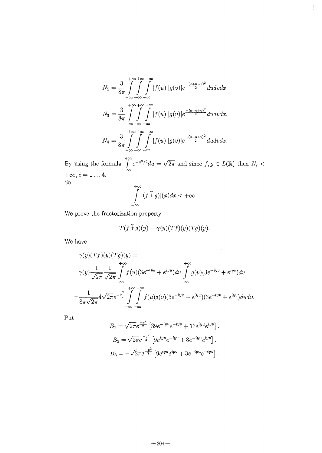$$
N_2 = \frac{3}{8\pi} \int_{-\infty}^{+\infty} \int_{-\infty}^{+\infty} |f(u)| |g(v)| e^{\frac{-(x+u-v)^2}{2}} du dv dx.
$$
  

$$
N_3 = \frac{3}{8\pi} \int_{-\infty}^{+\infty} \int_{-\infty}^{+\infty} \int_{-\infty}^{+\infty} |f(u)| |g(v)| e^{\frac{-(x+u+v)^2}{2}} du dv dx.
$$
  

$$
N_4 = \frac{3}{8\pi} \int_{-\infty}^{+\infty} \int_{-\infty}^{+\infty} |f(u)| |g(v)| e^{\frac{-(x-u+v)^2}{2}} du dv dx.
$$

By using the formula  $\int_{-\infty}^{+\infty} e^{-u^2/2} du = \sqrt{2\pi}$  and since  $f, g \in L(\mathbb{R})$  then  $N_i < +\infty$ ,  $i = 1...4$ .<br>So

$$
\int_{-\infty}^{+\infty} |(f \stackrel{\gamma}{*} g)|(x)dx < +\infty.
$$

We prove the fractorization property

$$
T(f \stackrel{\gamma}{*} g)(y) = \gamma(y)(Tf)(y)(Tg)(y).
$$

 $\hat{\boldsymbol{\beta}}$ 

 $\ddot{\phantom{a}}$ 

We have

$$
\gamma(y)(Tf)(y)(Tg)(y) =
$$
  
= $\gamma(y)\frac{1}{\sqrt{2\pi}}\frac{1}{\sqrt{2\pi}}\int_{-\infty}^{+\infty}f(u)(3e^{-iyu} + e^{iyu})du \int_{-\infty}^{+\infty}g(v)(3e^{-iyv} + e^{iyv})dv$   
= $\frac{1}{8\pi\sqrt{2\pi}}4\sqrt{2\pi}e^{-\frac{y^2}{2}}\int_{-\infty}^{+\infty} \int_{-\infty}^{+\infty}f(u)g(v)(3e^{-iyu} + e^{iyu})(3e^{-iyv} + e^{iyv})dudv.$ 

 $_{\rm Put}$ 

$$
B_1 = \sqrt{2\pi}e^{\frac{-y^2}{2}} \left[39e^{-iyu}e^{-iyv} + 13e^{iyu}e^{iyv}\right].
$$
  
\n
$$
B_2 = \sqrt{2\pi}e^{\frac{-y^2}{2}} \left[9e^{iyu}e^{-iyv} + 3e^{-iyu}e^{iyv}\right].
$$
  
\n
$$
B_3 = -\sqrt{2\pi}e^{\frac{-y^2}{2}} \left[9e^{iyu}e^{iyv} + 3e^{-iyu}e^{-iyv}\right].
$$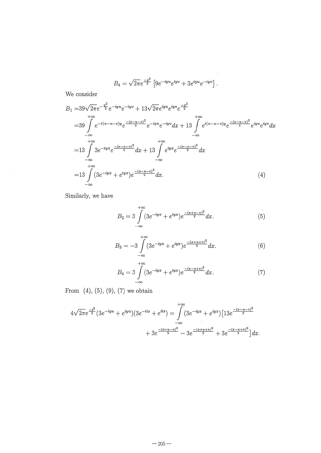$$
B_4 = \sqrt{2\pi}e^{\frac{-y^2}{2}} \left[9e^{-iyu}e^{iyv} + 3e^{iyu}e^{-iyv}\right].
$$

 $\mathcal{A}^{\mathcal{A}}$ 

We consider

$$
B_{1} = 39\sqrt{2\pi}e^{-\frac{y^{2}}{2}}e^{-iyu}e^{-iyv} + 13\sqrt{2\pi}e^{iyu}e^{iyv}e^{-\frac{y^{2}}{2}}
$$
  
\n
$$
= 39\int_{-\infty}^{+\infty} e^{-i(x-u-s)y}e^{-\frac{(x-u-v)^{2}}{2}}e^{-iyu}e^{-iyv}dx + 13\int_{-\infty}^{+\infty} e^{i(x-u-v)y}e^{\frac{-(x-u-v)^{2}}{2}}e^{iyu}e^{iyv}dx
$$
  
\n
$$
= 13\int_{-\infty}^{+\infty} 3e^{-iyx}e^{\frac{-(x-u-v)^{2}}{2}}dx + 13\int_{-\infty}^{+\infty} e^{iyx}e^{\frac{-(x-u-v)^{2}}{2}}dx
$$
  
\n
$$
= 13\int_{-\infty}^{+\infty} (3e^{-iyx} + e^{iyx})e^{\frac{-(x-u-v)^{2}}{2}}dx.
$$
  
\n(4)

Similarly, we have

 $\sim$ 

 $\sim$   $\sim$ 

$$
B_2 = 3 \int_{-\infty}^{+\infty} (3e^{-iyx} + e^{iyx})e^{\frac{-(x+u-v)^2}{2}} dx.
$$
 (5)

$$
B_3 = -3 \int_{-\infty}^{+\infty} (3e^{-iyx} + e^{iyx})e^{\frac{-(x+u+v)^2}{2}} dx.
$$
 (6)

$$
B_4 = 3 \int_{-\infty}^{+\infty} (3e^{-iyx} + e^{iyx}) e^{\frac{-(x-u+v)^2}{2}} dx.
$$
 (7)

From  $(4)$ ,  $(5)$ ,  $(9)$ ,  $(7)$  we obtain

$$
4\sqrt{2\pi}e^{\frac{-t^2}{2}}(3e^{-iyu}+e^{iyu})(3e^{-its}+e^{its}) = \int_{-\infty}^{+\infty} (3e^{-iyx}+e^{iyx})[13e^{\frac{-(x-u-v)^2}{2}} + 3e^{\frac{-(x+u-v)^2}{2}} - 3e^{\frac{-(x+u+v)^2}{2}} + 3e^{\frac{-(x-u+v)^2}{2}}]dx.
$$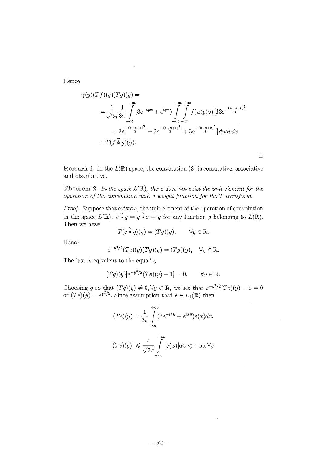Hence

$$
\gamma(y)(Tf)(y)(Tg)(y) =
$$
  
=  $\frac{1}{\sqrt{2\pi}} \frac{1}{8\pi} \int_{-\infty}^{+\infty} (3e^{-iyx} + e^{iyx}) \int_{-\infty}^{+\infty} \int_{-\infty}^{+\infty} f(u)g(v) [13e^{\frac{-(x-u-v)^2}{2}}+ 3e^{\frac{-(x+u-v)^2}{2}} - 3e^{\frac{-(x+u+v)^2}{2}} + 3e^{\frac{-(x-u+v)^2}{2}}] du dv dx=  $T(f \hat{x} g)(y).$$ 

**Remark 1.** In the  $L(\mathbb{R})$  space, the convolution (3) is comutative, associative and distributive.

 $\Box$ 

Theorem 2. In the space  $L(\mathbb{R})$ , there does not exist the unit element for the *operation of the convolution with a weight function for the T transform.* 

*Proof.* Suppose that exists e, the unit element of the operation of convolution in the space  $L(\mathbb{R})$ :  $e \times g = g \times e = g$  for any function *g* belonging to  $L(\mathbb{R})$ . Then we have

$$
T(e \stackrel{\gamma}{*} g)(y) = (Tg)(y), \qquad \forall y \in \mathbb{R}.
$$

Hence

$$
e^{-y^2/2}(Te)(y)(Tg)(y) = (Tg)(y), \quad \forall y \in \mathbb{R}.
$$

The last is eqivalent to the equality

$$
(Tg)(y)[e^{-y^2/2}(Te)(y) - 1] = 0, \quad \forall y \in \mathbb{R}.
$$

Choosing *g* so that  $(Tg)(y) \neq 0, \forall y \in \mathbb{R}$ , we see that  $e^{-y^2/2}(Te)(y) - 1 = 0$ or  $(Te)(y) = e^{y^2/2}$ . Since assumption that  $e \in L_1(\mathbb{R})$  then

$$
(Te)(y) = \frac{1}{2\pi} \int_{-\infty}^{+\infty} (3e^{-ixy} + e^{ixy})e(x)dx.
$$

$$
|(Te)(y)| \le \frac{4}{\sqrt{2\pi}} \int_{-\infty}^{+\infty} |e(x)|dx < +\infty, \forall y.
$$

 $-206-$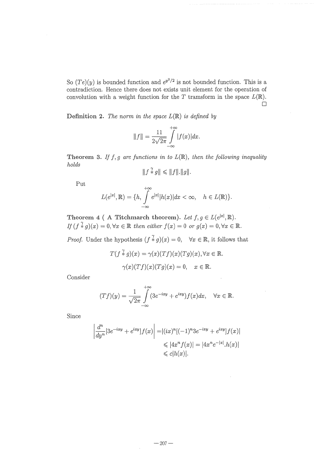So  $(Te)(y)$  is bounded function and  $e^{y^2/2}$  is not bounded function. This is a contradiction. Hence there does not exists unit element for the operation of convolution with a weight function for the  $T$  tramsform in the space  $L(\mathbb{R})$ .  $\Box$ 

Definition 2. The norm in the space  $L(\mathbb{R})$  is defined by

$$
||f|| = \frac{11}{2\sqrt{2\pi}} \int_{-\infty}^{+\infty} |f(x)| dx.
$$

Theorem 3. If  $f, g$  are functions in to  $L(\mathbb{R})$ , then the following inequality *holds* 

$$
||f * g|| \le ||f||.||g||
$$

Put  

$$
L(e^{|x|}, \mathbb{R}) = \{h, \int_{-\infty}^{+\infty} e^{|x|} |h(x)| dx < \infty, \quad h \in L(\mathbb{R})\}.
$$

Theorem 4 (A Titchmarch theorem). Let  $f, g \in L(e^{|\mathbf{x}|}, \mathbb{R})$ .  $If (f * g)(x) = 0, \forall x \in \mathbb{R}$  then either  $f(x) = 0$  or  $g(x) = 0, \forall x \in \mathbb{R}$ .

*Proof.* Under the hypothesis  $(f * g)(x) = 0$ ,  $\forall x \in \mathbb{R}$ , it follows that

$$
T(f \overset{\gamma}{*} g)(x) = \gamma(x)(Tf)(x)(Tg)(x), \forall x \in \mathbb{R}.
$$

$$
\gamma(x)(Tf)(x)(Tg)(x) = 0, \quad x \in \mathbb{R}.
$$

Consider

$$
(Tf)(y) = \frac{1}{\sqrt{2\pi}} \int_{-\infty}^{+\infty} (3e^{-ixy} + e^{ixy}) f(x) dx, \quad \forall x \in \mathbb{R}.
$$

Since

$$
\left| \frac{d^n}{dy^n} [3e^{-ixy} + e^{ixy}] f(x) \right| = |(ix)^n [(-1)^n 3e^{-ixy} + e^{ixy}] f(x)|
$$
  

$$
\leq |4x^n f(x)| = |4x^n e^{-|x|} h(x)|
$$
  

$$
\leq c |h(x)|.
$$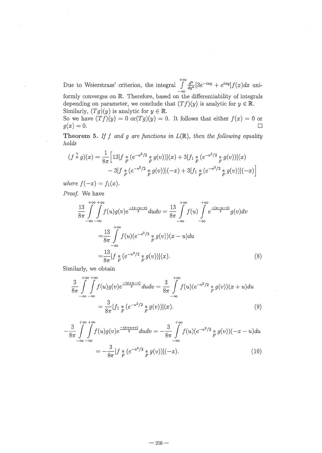Due to Weierstrass' criterion, the integral  $\int_{-\infty}^{+\infty} \frac{d^n}{dy^n} [3e^{-ixy} + e^{ixy}] f(x) dx$  uniformly converges on R. Therefore, based on the differentiability of integrals depending on parameter, we conclude that  $(Tf)(y)$  is analytic for  $y \in \mathbb{R}$ . Similarly,  $(Tg)(y)$  is analytic for  $y \in \mathbb{R}$ .

So we have  $(Tf)(y) = 0$  or  $(Tg)(y) = 0$ . It follows that either  $f(x) = 0$  or  $g(x)=0.$  $\Box$ 

Theorem 5. If f and g are functions in  $L(\mathbb{R})$ , then the following equality holds

$$
(f * g)(x) = \frac{1}{8\pi} \Big[ 13[f *_{F} (e^{-v^{2}/2} * g(v))](x) + 3[f_{1} *_{F} (e^{-v^{2}/2} * g(v))](x)
$$
  

$$
- 3[f *_{F} (e^{-v^{2}/2} * g(v))](-x) + 3[f_{1} *_{F} (e^{-v^{2}/2} * g(v))](-x) \Big]
$$

where  $f(-x) = f_1(x)$ .

Proof. We have

$$
\frac{13}{8\pi} \int_{-\infty}^{+\infty} \int_{-\infty}^{+\infty} f(u)g(v)e^{\frac{-(x-u-v)}{2}} du dv = \frac{13}{8\pi} \int_{-\infty}^{+\infty} f(u) \int_{-\infty}^{+\infty} e^{\frac{-(x-u-v)}{2}} g(v) dv
$$

$$
= \frac{13}{8\pi} \int_{-\infty}^{+\infty} f(u)(e^{-s^2/2} * g(v))(x-u) du
$$

$$
= \frac{13}{8\pi} [f * (e^{-v^2/2} * g(v))](x).
$$
(8)

Similarly, we obtain

$$
\frac{3}{8\pi} \int_{-\infty}^{+\infty} \int_{-\infty}^{+\infty} f(u)g(v)e^{\frac{-(x+u-v)}{2}} du dv = \frac{3}{8\pi} \int_{-\infty}^{+\infty} f(u)(e^{-v^2/2} * g(v))(x+u) du
$$

$$
= \frac{3}{8\pi} [f_1 * (e^{-v^2/2} * g(v))](x).
$$
(9)

$$
-\frac{3}{8\pi} \int_{-\infty}^{+\infty} \int_{-\infty}^{\infty} f(u)g(v)e^{\frac{-(x+u+v)}{2}} du dv = -\frac{3}{8\pi} \int_{-\infty}^{+\infty} f(u)(e^{-v^2/2} * g(v))(-x-u) du
$$

$$
= -\frac{3}{8\pi} [f * (e^{-v^2/2} * g(v))](-x).
$$
(10)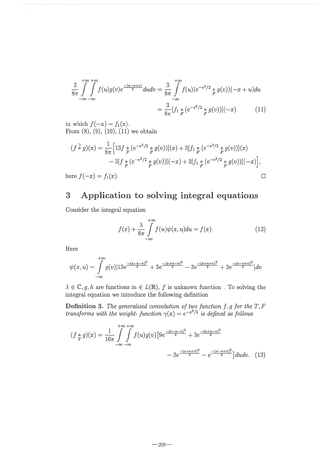$$
\frac{3}{8\pi} \int_{-\infty}^{+\infty} \int_{-\infty}^{\infty} f(u)g(v)e^{\frac{-(x-u+v)}{2}} du dv = \frac{3}{8\pi} \int_{-\infty}^{+\infty} f(u)(e^{-v^2/2} * g(v))(-x+u) du
$$

$$
= \frac{3}{8\pi} [f_1 * (e^{-v^2/2} * g(v))](-x) \tag{11}
$$

in which  $f(-x) = f_1(x)$ . From  $(8)$ ,  $(9)$ ,  $(10)$ ,  $(11)$  we obtain

$$
(f * g)(x) = \frac{1}{8\pi} \Big[ 13f *_{F} (e^{-v^{2}/2} * g(v))](x) + 3[f_{1} * (e^{-v^{2}/2} * g(v))](x)
$$
  

$$
- 3[f *_{F} (e^{-v^{2}/2} * g(v))](-x) + 3[f_{1} * (e^{-v^{2}/2} * g(v))](-x) \Big],
$$
  
ere  $f(-x) = f_{1}(x).$ 

here  $f(-x) = f_1(x)$ .

#### $\boldsymbol{3}$ Application to solving integral equations

Consider the integral equation

$$
f(x) + \frac{\lambda}{8\pi} \int_{-\infty}^{+\infty} f(u)\psi(x, u)du = f(x). \tag{12}
$$

Here

$$
\psi(x,u) = \int_{-\infty}^{+\infty} g(v) [13e^{\frac{-(x-u-v)^2}{2}} + 3e^{\frac{-(x+u-v)^2}{2}} - 3e^{\frac{-(x+u+v)^2}{2}} + 3e^{\frac{-(x-u+v)^2}{2}}] dv
$$

 $\lambda \in \mathbb{C}, g, h$  are functions in  $\in L(\mathbb{R})$ , f is unknown function. To solving the integral equation we introduce the following definition

**Definition 3.** The generalized convolution of two function f, g for the T, F transforms with the weight-function  $\gamma(x) = e^{-x^2/2}$  is defined as follows

$$
(f * g)(x) = \frac{1}{16\pi} \int_{-\infty}^{+\infty} \int_{-\infty}^{+\infty} f(u)g(v) \left[ 9e^{\frac{-(x-u-v)^2}{2}} + 3e^{\frac{-(x+u-v)^2}{2}} - 3e^{\frac{-(x-u+v)^2}{2}} - e^{\frac{-(x-u+v)^2}{2}} \right] du dv. \tag{13}
$$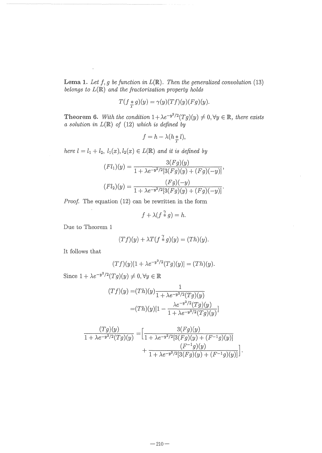Lema 1. Let  $f, g$  be function in  $L(\mathbb{R})$ . Then the generalized convolution (13) *belongs to*  $L(\mathbb{R})$  *and the fractorization property holds* 

$$
T(f *_{T} g)(y) = \gamma(y)(Tf)(y)(Fg)(y).
$$

Theorem 6. With the condition  $1 + \lambda e^{-y^2/2} (Tg)(y) \neq 0, \forall y \in \mathbb{R}$ , there exists  $a$  solution in  $L(\mathbb{R})$  of (12) which is defined by

$$
f = h - \lambda (h * l),
$$

*here*  $l = l_1 + l_2$ *,*  $l_1(x), l_2(x) \in L(\mathbb{R})$  *and it is defined by* 

$$
(Fl1)(y) = \frac{3(Fg)(y)}{1 + \lambda e^{-y^2/2}[3(Fg)(y) + (Fg)(-y)]},
$$

$$
(Fl2)(y) = \frac{(Fg)(-y)}{1 + \lambda e^{-y^2/2}[3(Fg)(y) + (Fg)(-y)]}.
$$

*Proof.* The equation (12) can be rewritten in the form

$$
f + \lambda (f * g) = h.
$$

Due to Theorem 1

$$
(Tf)(y) + \lambda T(f \stackrel{\gamma}{*} g)(y) = (Th)(y).
$$

It follows that

$$
(Tf)(y)[1 + \lambda e^{-y^2/2}(Tg)(y)] = (Th)(y).
$$

Since  $1 + \lambda e^{-y^2/2}(Tg)(y) \neq 0, \forall y \in \mathbb{R}$ 

$$
(Tf)(y) = (Th)(y)\frac{1}{1 + \lambda e^{-y^2/2}(Tg)(y)}
$$

$$
= (Th)(y)[1 - \frac{\lambda e^{-y^2/2}(Tg)(y)}{1 + \lambda e^{-y^2/2}(Tg)(y)}]
$$

$$
\frac{(Tg)(y)}{1 + \lambda e^{-y^2/2}(Tg)(y)} = \left[ \frac{3(Fg)(y)}{1 + \lambda e^{-y^2/2}[3(Fg)(y) + (F^{-1}g)(y)]} + \frac{(F^{-1}g)(y)}{1 + \lambda e^{-y^2/2}[3(Fg)(y) + (F^{-1}g)(y)]} \right].
$$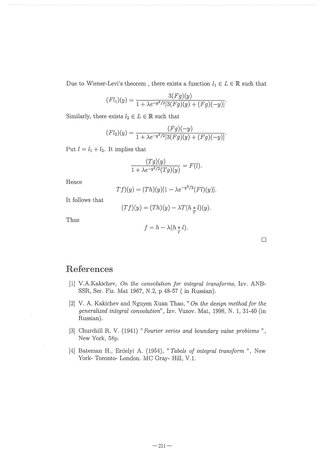Due to Wiener-Levi's theorem , there exists a function  $l_1 \in L \in \mathbb{R}$  such that

$$
(Fl_1)(y) = \frac{3(Fg)(y)}{1 + \lambda e^{-y^2/2} [3(Fg)(y) + (Fg)(-y)]}.
$$

Similarly, there exists  $l_2 \in L \in \mathbb{R}$  such that

$$
(Fl_2)(y) = \frac{(Fg)(-y)}{1 + \lambda e^{-y^2/2} [3(Fg)(y) + (Fg)(-y)]}.
$$

Put  $l = l_1 + l_2$ . It implies that

$$
\frac{(Tg)(y)}{1+\lambda e^{-y^2/2}(Tg)(y)} = F(l).
$$

Hence

$$
Tf)(y) = (Th)(y)[1 - \lambda e^{-y^2/2}(Fl)(y)].
$$

It follows that

$$
(Tf)(y) = (Th)(y) - \lambda T(h * l)(y).
$$

Thus

$$
f=h-\lambda(h\underset{T}{*}l).
$$

## References

- [1] Y.A.Kaldchev, *On the convolution for integral transforms,* Izv. ANB-SSR, Ser. Fiz. Mat 1967, N.2, p 48-57 ( in Russian).
- [2] V. A. Kakichev and Nguyen Xuan Thao, "On the design method for the *generalized integral convolution",* Izv. Vuzov. Mat, 1998, N. 1,31-40 (in Russian).
- [3] Churchill R. V. (1941) " *Fourier series and boundary value problems)),*  New York, 58p.
- [4] Bateman H., Erdelyi A. (1954), » *Tabels of integral transform)),* New York- Toronto- London. MC Gray- Hill, V.I.